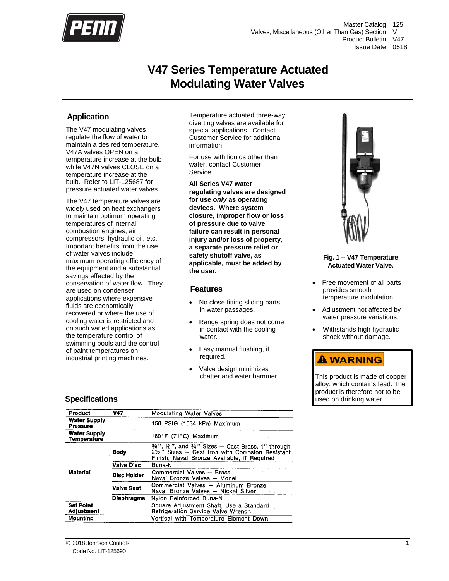

# **V47 Series Temperature Actuate[d](#page-8-0) Modulating Water Valves**

## **Application**

The V47 modulating valves regulate the flow of water to maintain a desired temperature. V47A valves OPEN on a temperature increase at the bulb while V47N valves CLOSE on a temperature increase at the bulb. Refer to LIT-125687 for pressure actuated water valves.

The V47 temperature valves are widely used on heat exchangers to maintain optimum operating temperatures of internal combustion engines, air compressors, hydraulic oil, etc. Important benefits from the use of water valves include maximum operating efficiency of the equipment and a substantial savings effected by the conservation of water flow. They are used on condenser applications where expensive fluids are economically recovered or where the use of cooling water is restricted and on such varied applications as the temperature control of swimming pools and the control of paint temperatures on industrial printing machines.

Temperature actuated three-way diverting valves are available for special applications. Contact Customer Service for additional information.

For use with liquids other than water, contact Customer Service.

**All Series V47 water regulating valves are designed for use** *only* **as operating devices. Where system closure, improper flow or loss of pressure due to valve failure can result in personal injury and/or loss of property, a separate pressure relief or safety shutoff valve, as applicable, must be added by the user.**

## **Feature[s](#page-8-0)**

- No close fitting sliding parts in water passages.
- Range spring does not come in contact with the cooling water.
- Easy manual flushing, if required.
- Valve design minimizes chatter and water hammer.



**Fig. 1 -- V47 Temperature Actuated Water Valve.**

- Free movement of all parts provides smooth temperature modulation.
- Adjustment not affected by water pressure variations.
- Withstands high hydraulic shock without damage.

# **A WARNING**

This product is made of copper alloy, which contains lead. The product is therefore not to be used on drinking water.

## **Specificat[ions](#page-8-0)**

| Product                               | V47                | Modulating Water Valves                                                                                                                                                                               |
|---------------------------------------|--------------------|-------------------------------------------------------------------------------------------------------------------------------------------------------------------------------------------------------|
| <b>Water Supply</b><br>Pressure       |                    | 150 PSIG (1034 kPa) Maximum                                                                                                                                                                           |
| <b>Water Supply</b><br>Temperature    |                    | 160°F (71°C) Maximum                                                                                                                                                                                  |
|                                       | Body               | $\frac{3}{2}$ , $\frac{1}{2}$ , $\frac{1}{2}$ , and $\frac{3}{4}$ . Sizes $-$ Cast Brass. 1. through<br>2½" Sizes - Cast Iron with Corrosion Resistant<br>Finish, Naval Bronze Available, if Required |
|                                       | <b>Valve Disc</b>  | Buna-N                                                                                                                                                                                                |
| Material                              | <b>Disc Holder</b> | Commercial Valves - Brass,<br>Naval Bronze Valves - Monel                                                                                                                                             |
|                                       | <b>Valve Seat</b>  | Commercial Valves - Aluminum Bronze.<br>Naval Bronze Valves - Nickel Silver                                                                                                                           |
|                                       | Diaphragms         | Nylon Reinforced Buna-N                                                                                                                                                                               |
| <b>Set Point</b><br><b>Adjustment</b> |                    | Square Adjustment Shaft, Use a Standard<br>Refrigeration Service Valve Wrench                                                                                                                         |
| Mounting                              |                    | Vertical with Temperature Element Down                                                                                                                                                                |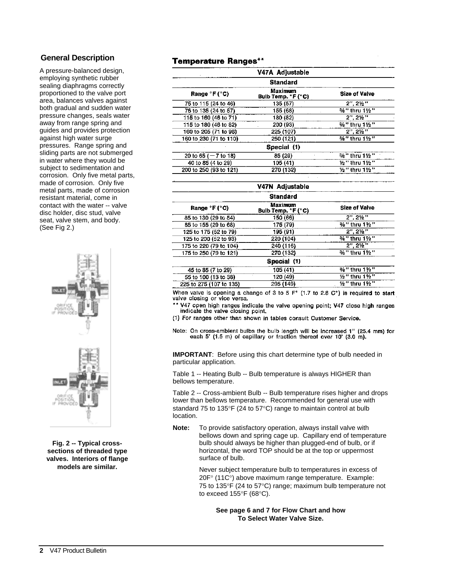## **General Descriptio[n](#page-8-0)**

A pressure-balanced design, employing synthetic rubber sealing diaphragms correctly proportioned to the valve port area, balances valves against both gradual and sudden water pressure changes, seals water away from range spring and guides and provides protection against high water surge pressures. Range spring and sliding parts are not submerged in water where they would be subject to sedimentation and corrosion. Only five metal parts, made of corrosion. Only five metal parts, made of corrosion resistant material, come in contact with the water -- valve disc holder, disc stud, valve seat, valve stem, and body. (See Fig 2.)



**Fig. 2 -- Typical crosssections of threaded type valves. Interiors of flange models are similar.**

## **Temperature Ranges\*\***

|                                    | V47A Adjustable                      |                      |  |  |  |  |
|------------------------------------|--------------------------------------|----------------------|--|--|--|--|
| <b>Standard</b>                    |                                      |                      |  |  |  |  |
| Range $^{\circ}$ F ( $^{\circ}$ C) | <b>Maximum</b><br>Bulb Temp. °F (°C) | <b>Size of Valve</b> |  |  |  |  |
| 75 to 115 (24 to 46)               | 135 (57)                             | $2". 2\frac{1}{2}$   |  |  |  |  |
| 75 to 135 (24 to 57)               | 155 (68)                             | %" thru 11/2"        |  |  |  |  |
| 115 to 160 (46 to 71)              | 180 (82)                             | $2", 2\frac{1}{2}"$  |  |  |  |  |
| 115 to 180 (46 to 82)              | 200 (93)                             | %" thru 11/2"        |  |  |  |  |
| 160 to 205 (71 to 96)              | 225 (107)                            | $2''.2\frac{1}{2}''$ |  |  |  |  |
| 160 to 230 (71 to 110)             | 250 (121)                            | %" thru 1½"          |  |  |  |  |
|                                    | Special (1)                          |                      |  |  |  |  |
| 20 to 65 ( $-7$ to 18)             | 85 (29)                              | %" thru 1½"          |  |  |  |  |
| 40 to 85 (4 to 29)                 | 105 (41)                             | ½" thru 1½"          |  |  |  |  |
| 200 to 250 (93 to 121)             | 270 (132)                            | ½" thru 1½"          |  |  |  |  |

|                         | V47N Adjustable               |                        |  |  |  |  |  |
|-------------------------|-------------------------------|------------------------|--|--|--|--|--|
| <b>Standard</b>         |                               |                        |  |  |  |  |  |
| Range °F (°C)           | Maximum<br>Bulb Temp. °F (°C) | <b>Size of Valve</b>   |  |  |  |  |  |
| 85 to 130 (29 to 54)    | 150 (66)                      | 2", 2½"                |  |  |  |  |  |
| 85 to 155 (29 to 68)    | 175 (79)                      | %" thru 1½"            |  |  |  |  |  |
| 125 to 175 (52 to 79)   | 195 (91)                      | $2", 2 \frac{1}{2}"$   |  |  |  |  |  |
| 125 to 200 (52 to 93)   | 220 (104)                     | %" thru 11/2"          |  |  |  |  |  |
| 175 to 220 (79 to 104)  | 240 (116)                     | $2", 2\frac{1}{2}"$    |  |  |  |  |  |
| 175 to 250 (79 to 121)  | 270 (132)                     | %" thru 1½"            |  |  |  |  |  |
|                         | Special (1)                   |                        |  |  |  |  |  |
| 45 to 85 (7 to 29)      | 105 (41)                      | %" thru 1½"            |  |  |  |  |  |
| 55 to 100 (13 to 38)    | 120 (49)                      | ½" thru 1½"            |  |  |  |  |  |
| 225 to 275 (107 to 135) | 295 (149)                     | $1/2$ " thru 1 $1/2$ " |  |  |  |  |  |

When valve is opening a change of 3 to 5  $F^{\circ}$  (1.7 to 2.8 C°) is required to start valve closing or vice versa.

- \*\* V47 open high ranges indicate the valve opening point; V47 close high ranges indicate the valve closing point.
- (1) For ranges other than shown in tables consult Customer Service.
- Note: On cross-ambient bulbs the bulb length will be increased 1" (25.4 mm) for each 5' (1.5 m) of capillary or fraction thereof over 10' (3.0 m).

**IMPORTANT:** Before using this chart determine type of bulb needed in particular application.

Table 1 -- Heating Bulb -- Bulb temperature is always HIGHER than bellows temperature.

Table 2 -- Cross-ambient Bulb -- Bulb temperature rises higher and drops lower than bellows temperature. Recommended for general use with standard 75 to 135°F (24 to 57°C) range to maintain control at bulb location.

**Note:** To provide satisfactory operation, always install valve with bellows down and spring cage up. Capillary end of temperature bulb should always be higher than plugged-end of bulb, or if horizontal, the word TOP should be at the top or uppermost surface of bulb.

> Never subject temperature bulb to temperatures in excess of 20F° (11C°) above maximum range temperature. Example: 75 to 135°F (24 to 57°C) range; maximum bulb temperature not to exceed 155°F (68°C).

**See page 6 and 7 for Flow Chart and how To Select Water Valve Size.**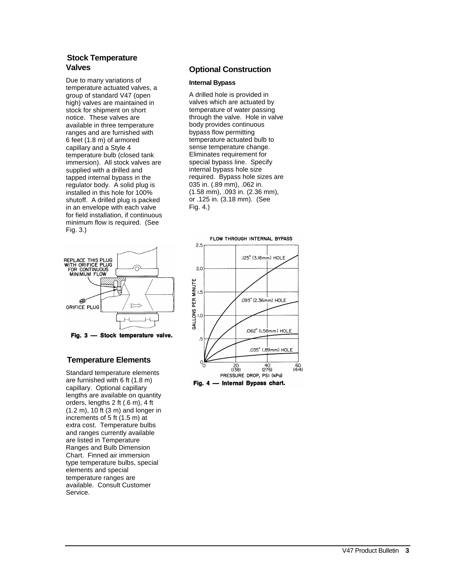## **Stock Temperature Valve[s](#page-8-0)**

Due to many variations of temperature actuated valves, a group of standard V47 (open high) valves are maintained in stock for shipment on short notice. These valves are available in three temperature ranges and are furnished with 6 feet (1.8 m) of armored capillary and a Style 4 temperature bulb (closed tank immersion). All stock valves are supplied with a drilled and tapped internal bypass in the regulator body. A solid plug is installed in this hole for 100% shutoff. A drilled plug is packed in an envelope with each valve for field installation, if continuous minimum flow is required. (See Fig. 3.)



Fig. 3 - Stock temperature valve.

## **Temperature Elements**

Standard temperature elements are furnished with 6 ft (1.8 m) capillary. Optional capillary lengths are available on quantity orders, lengths 2 ft (.6 m), 4 ft (1.2 m), 10 ft (3 m) and longer in increments of 5 ft (1.5 m) at extra cost. Temperature bulbs and ranges currently available are listed in Temperature Ranges and Bulb Dimension Chart. Finned air immersion type temperature bulbs, special elements and special temperature ranges are available. Consult Customer Service.

## **Optional Construction**

#### **Internal Bypass**

A drilled hole is provided in valves which are actuated by temperature of water passing through the valve. Hole in valve body provides continuous bypass flow permitting temperature actuated bulb to sense temperature change. Eliminates requirement for special bypass line. Specify internal bypass hole size required. Bypass hole sizes are 035 in. (.89 mm), .062 in. (1.58 mm), .093 in. (2.36 mm), or .125 in. (3.18 mm). (See Fig. 4.)



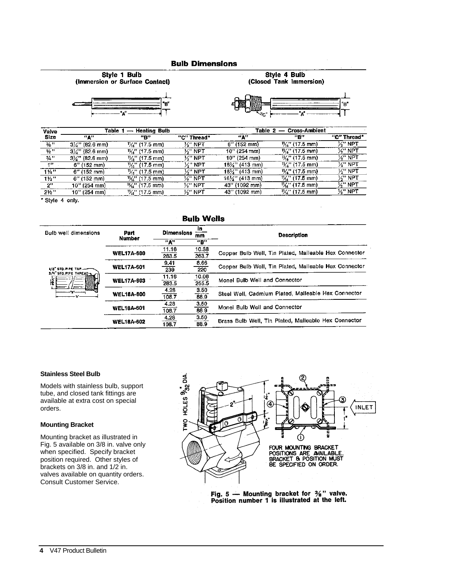#### **Bulb Dimensions**





Style 4 Bulb



| Valve            |                            | Table 1 — Heating Bulb     |                     | Table 2        | <b>Cross-Ambient</b><br>$\overline{\phantom{a}}$ |                     |
|------------------|----------------------------|----------------------------|---------------------|----------------|--------------------------------------------------|---------------------|
| <b>Size</b>      | man.                       | "E"                        | "C" Thread*         | "А"            | "B"                                              | "C" Thread"         |
| $\frac{3}{6}$ "  | $3\frac{1}{2}$ " (82.6 mm) | $\frac{11}{2}$ , (17.5 mm) | 火" NPT              | $6''$ (152 mm) | $\frac{1}{2}$ '' (17.5 mm)                       | $\mathcal{V}$ " NPT |
| $\frac{1}{2}$    | $3\frac{1}{4}$ " (82.6 mm) | $\frac{1}{2}$ '' (17.5 mm) | $\mathcal{V}$ " NPT | 10" (254 mm)   | $\frac{1}{6}$ " (17.5 mm)                        | $\mathcal{H}^n$ NPT |
| 3/4 ''           | $3\frac{1}{2}$ " (82.6 mm) | 以" (17.5 mm)               | ¼" NPT              | 10" (254 mm)   | $\frac{11}{16}$ (17.5 mm)                        | ½" NPT              |
| 1"               | $6''$ (152 mm)             | $\frac{11}{16}$ (17.5 mm)  | '⁄s'' NPT           | 16¼" (413 mm)  | $\frac{1}{2}$ (17.5 mm)                          | ½" NPT              |
| $1\frac{1}{4}$ " | 6" (152 mm)                | $\frac{1}{2}$ (17.5 mm)    | ½" NPT              | 16½'' (413 mm) | $V_6$ " (17.5 mm)                                | <b>K" NPT</b>       |
| 11/2             | 6" (152 mm)                | y <sub>k</sub> " (17.5 mm) | ½" NPT              | 16½" (413 mm)  | $\frac{1}{6}$ (17.5 mm)                          | $\mathcal{V}$ " NPT |
| 2"               | 10" (254 mm)               | $\frac{1}{2}$ (17.5 mm)    | ½" NPT              | 43" (1092 mm)  | $\frac{1}{2}$ (17.5 mm)                          | <b>S" NPT</b>       |
| $2V_{2}$ "       | 10" (254 mm).              | $\frac{11}{2}$ (17.5 mm)   | ½" NPT              | 43" (1092 mm)  | $\frac{1}{2}$ '/ <sub>6</sub> '' (17.5 mm)       | ½" NPT              |

\* Style 4 only.

#### **Bulb Wells**

| <b>Bulb well dimensions</b>                     | Part<br><b>Number</b> | īn<br><b>Dimensions</b><br>mm |                     | <b>Description</b>                                    |  |
|-------------------------------------------------|-----------------------|-------------------------------|---------------------|-------------------------------------------------------|--|
|                                                 |                       | ™A™                           | "P"                 |                                                       |  |
|                                                 |                       | 11.16                         | 10.38               |                                                       |  |
|                                                 | <b>WEL17A-600</b>     | 283.5                         | 263.7               | Copper Bulb Well, Tin Plated, Malleable Hex Connector |  |
|                                                 | <b>WEL17A-601</b>     | 9.41                          | 8.66                |                                                       |  |
| 1/2" STD. PIPE TAP. --<br>3/4" STO. PIPE THREAD |                       | 239                           | 220                 | Copper Bulb Well, Tin Plated, Malleable Hex Connector |  |
|                                                 |                       | 11.16                         | 10.06               | Monel Bulb Well and Connector                         |  |
| 雀                                               | <b>WEL17A-603</b>     | 283.5                         | 255.5               |                                                       |  |
|                                                 | <b>WEL18A-600</b>     | 4,28                          | $\frac{3.50}{88.9}$ | Steel Well, Cadmium Plated, Malleable Hex Connector   |  |
|                                                 |                       | 108.7                         |                     |                                                       |  |
|                                                 |                       | 4.28                          | 3.50                | Monel Bulb Well and Connector                         |  |
|                                                 | <b>WEL18A-601</b>     | 103.7                         | 88.9                |                                                       |  |
|                                                 |                       | 4.28                          | 3.50                | Brass Bulb Well, Tin Plated, Malleable Hex Connector  |  |
|                                                 | <b>WEL18A-602</b>     | 108.7                         | 88.9                |                                                       |  |

#### **Stainless Steel Bulb**

Models with stainless bulb, support tube, and closed tank fittings are available at extra cost on special orders.

#### **Mounting Bracket**

Mounting bracket as illustrated in Fig. 5 available on 3/8 in. valve only when specified. Specify bracket position required. Other styles of brackets on 3/8 in. and 1/2 in. valves available on quantity orders. Consult Customer Service.



Fig. 5  $-$  Mounting bracket for  $\frac{3}{8}$ " valve. Position number 1 is illustrated at the left.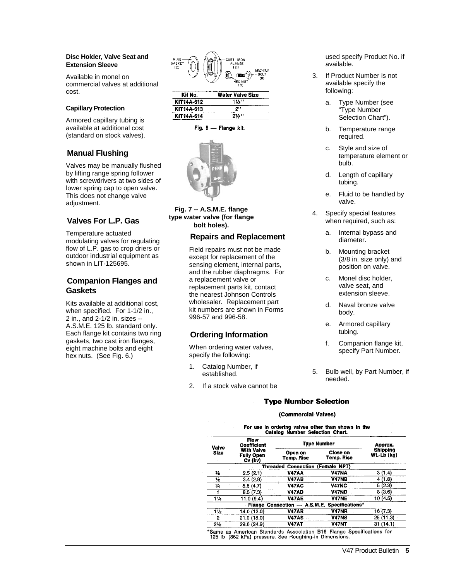#### **Disc Holder, Valve Seat and Extension Sleeve**

Available in monel on commercial valves at additional cost.

#### **Capillary Protection**

Armored capillary tubing is available at additional cost (standard on stock valves).

## **Manual Flushin[g](#page-8-0)**

Valves may be manually flushed by lifting range spring follower with screwdrivers at two sides of lower spring cap to open valve. This does not change valve adjustment.

## **[Valv](#page-8-0)es For L.P. Gas**

Temperature actuated modulating valves for regulating flow of L.P. gas to crop driers or outdoor industrial equipment as shown in LIT-125695.

## **Companion Flanges and Gasket[s](#page-8-0)**

Kits available at additional cost, when specified. For 1-1/2 in., 2 in., and 2-1/2 in. sizes -- A.S.M.E. 125 lb. standard only. Each flange kit contains two ring gaskets, two cast iron flanges, eight machine bolts and eight hex nuts. (See Fig. 6.)



| KII NO.    | water valve Size |
|------------|------------------|
| KIT14A-612 | 116''            |
| KIT14A-613 | ייפ              |
| KIT14A-614 | $2\frac{1}{2}$ " |

Fig. 6 - Flange kit.



**Fig. 7 -- A.S.M.E. flange type water valve (for flange bolt holes).**

### **Repairs and Replacemen[t](#page-8-0)**

Field repairs must not be made except for replacement of the sensing element, internal parts, and the rubber diaphragms. For a replacement valve or replacement parts kit, contact the nearest Johnson Controls wholesaler. Replacement part kit numbers are shown in Forms 996-57 and 996-58.

## **Ordering Informatio[n](#page-8-0)**

When ordering water valves, specify the following:

- 1. Catalog Number, if established.
- 2. If a stock valve cannot be

used specify Product No. if available.

- 3. If Product Number is not available specify the following:
	- a. Type Number (see "Type Number Selection Chart").
	- b. Temperature range required.
	- c. Style and size of temperature element or bulb.
	- d. Length of capillary tubing.
	- e. Fluid to be handled by valve.
- 4. Specify special features when required, such as:
	- a. Internal bypass and diameter.
	- b. Mounting bracket (3/8 in. size only) and position on valve.
	- c. Monel disc holder, valve seat, and extension sleeve.
	- d. Naval bronze valve body.
	- e. Armored capillary tubing.
	- f. Companion flange kit, specify Part Number.
- 5. Bulb well, by Part Number, if needed.

### **Type Number Selection**

#### (Commercial Valves)

For use in ordering valves other than shown in the<br>Catalog Number Selection Chart.

| Valve          | Flow<br>Coefficient                               | Tvpe Number                                     | Approx.                                      |                         |  |
|----------------|---------------------------------------------------|-------------------------------------------------|----------------------------------------------|-------------------------|--|
| <b>Size</b>    | <b>With Valve</b><br><b>Fully Open</b><br>Cv (kv) | Close on<br>Open on<br>Temo. Rise<br>Temp. Rise |                                              | Shipping<br>Wt.-Lb (kg) |  |
|                |                                                   | <b>Threaded Connection (Female NPT)</b>         |                                              |                         |  |
| ℁              | 2.5(2.1)                                          | V47AA                                           | <b>V47NA</b>                                 | 3(1.4)                  |  |
| ⅛              | 3.4(2.9)                                          | <b>V47AB</b>                                    | <b>V47NB</b>                                 | 4 (1.8)                 |  |
| $\frac{3}{4}$  | 5.5(4.7)                                          | <b>V47AC</b>                                    | V47NC                                        | 5(2.3)                  |  |
|                | 8.5(7.3)                                          | <b>V47AD</b>                                    | <b>V47ND</b>                                 | 8(3.6)                  |  |
| $1\frac{1}{4}$ | 11.0(9.4)                                         | <b>V47AE</b>                                    | <b>V47NE</b>                                 | 10 (4.5)                |  |
|                |                                                   |                                                 | Flange Connection - A.S.M.E. Specifications* |                         |  |
| $1\frac{1}{2}$ | 14.0 (12.0)                                       | <b>V47AR</b>                                    | <b>V47NR</b>                                 | 16 (7.3)                |  |
| 2              | 21.0 (18.0)                                       | V47AS                                           | <b>V47NS</b>                                 | 25 (11.3)               |  |
| $2\frac{1}{2}$ | 29.0 (24.9)                                       | <b>V47AT</b>                                    | <b>V47NT</b>                                 | 31(14.1)                |  |

Same as American Standards Association B16 Flange Specifications for 125 lb (862 kPa) pressure. See Roughing-in Dimensions.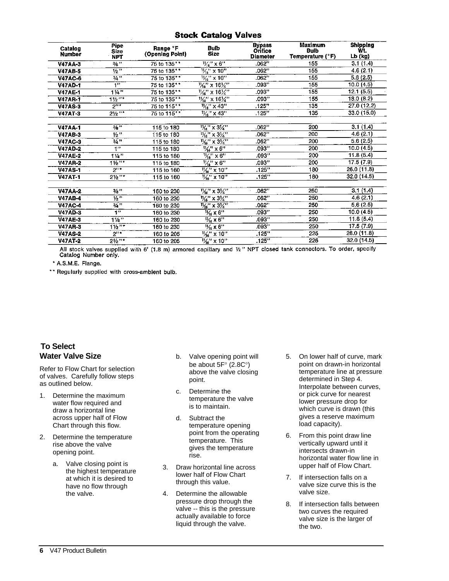#### **Stock Catalog Valves**

| Catalog<br>Number | Pipe<br><b>Size</b><br><b>NPT</b> | Range °F<br>(Opening Point) | <b>Bulb</b><br><b>Size</b>                                                          | <b>Bypass</b><br>Orifice<br><b>Diameter</b> | Maximum<br>Bulb<br>Temperature (°F) | <b>Shipping</b><br>Wt.<br>Lb (kg) |
|-------------------|-----------------------------------|-----------------------------|-------------------------------------------------------------------------------------|---------------------------------------------|-------------------------------------|-----------------------------------|
| <b>V47AA-3</b>    | 3/ <sub>3</sub>                   | 75 to 135**                 | $\frac{1}{4}$ x 6"                                                                  | .062"                                       | 155                                 | 3.1(1.4)                          |
| <b>V47AB-5</b>    | $1/2$ <sup>39</sup>               | 75 to 135**                 | $\frac{11}{6}$ " x 10"                                                              | .062"                                       | 155                                 | 4.6 (2.1)                         |
| <b>V47AC-6</b>    | $3/4$ <sup>37</sup>               | 75 to 135**                 | $\frac{1}{6}$ " x 10"                                                               | .062"                                       | 155                                 | 5.6(2.5)                          |
| <b>V47AD-1</b>    | $\overline{\mathbf{1}}$           | 75 to 135**                 | $\frac{1}{46}$ " x 16 $\frac{1}{4}$ "                                               | .093"                                       | 155                                 | 10.0 (4.5)                        |
| <b>V47AE-1</b>    | 11 <sup>4</sup>                   | 75 to 135**                 | $\frac{1}{2}$ x 16 $\frac{1}{4}$ "                                                  | .093"                                       | 155                                 | 12.1(5.5)                         |
| <b>V47AR-1</b>    | $11/2$ $11*$                      | 75 to 135**                 | $\frac{1}{2}$ " x 16 $\frac{1}{4}$ "                                                | .093"                                       | 155                                 | 18.0 (8.2)                        |
| <b>V47AS-3</b>    | 2                                 | 75 to 115**                 | $\frac{1}{4}$ $\frac{1}{6}$ $\frac{1}{8}$ $\frac{1}{4}$ $\frac{1}{3}$ $\frac{1}{1}$ | .125"                                       | 135                                 | 27.0 (12.2)                       |
| <b>V47AT-3</b>    | $2\frac{1}{2}$ "*                 | 75 to 115**                 | $\frac{1}{16}$ x 43                                                                 | .125"                                       | 135                                 | 33.0 (15.0)                       |
|                   |                                   |                             |                                                                                     |                                             |                                     |                                   |
| <b>V47AA-1</b>    | $3/3$ <sup>35</sup>               | 115 to 180                  | $\frac{1}{4}$ x 3/4"                                                                | .062"                                       | 200                                 | 3.1(1.4)                          |
| <b>V47AB-3</b>    | 1/2                               | 115 to 180                  | $\frac{1}{4}$ x 3/4"                                                                | .062"                                       | 200                                 | 4.6 (2.1)                         |
| <b>V47AC-3</b>    | $3/4$ $"$                         | 115 to 180                  | $\frac{1}{4}$ x 3/4"                                                                | .062"                                       | 200                                 | 5.6(2.5)                          |
| <b>V47AD-2</b>    | 49                                | 115 to 180                  | $\frac{1}{2}$ $\frac{1}{6}$ $\frac{1}{2}$ $\times$ 6"                               | .093"                                       | 200                                 | 10.0 (4.5)                        |
| <b>V47AE-2</b>    | $1\sqrt{4}$                       | 115 to 180                  | $\frac{1}{16}$ x 6"                                                                 | .093"                                       | 200                                 | 11.8(5.4)                         |
| <b>V47AR-2</b>    | $11/2$ "*                         | 115 to 180                  | $\frac{1}{2}$ x 6"                                                                  | .093"                                       | 200                                 | 17.5 (7.9)                        |
| <b>V47AS-1</b>    | $2^{11*}$                         | 115 to 160                  | $\frac{1}{2}$ %" x 10"                                                              | .125"                                       | 180                                 | 26.0 (11.8)                       |
| <b>V47AT-1</b>    | 21/2                              | 115 to 160                  | $\frac{1}{6}$ x 10"                                                                 | .125"                                       | 180                                 | 32.0(14.5)                        |
|                   |                                   |                             |                                                                                     |                                             |                                     |                                   |
| <b>V47AA-2</b>    | $3/3$ $+$                         | 160 to 230                  | $\frac{1}{4}$ x 3/4"                                                                | .062"                                       | 250                                 | 3.1(1.4)                          |
| <b>V47AB-4</b>    | $\overline{v_2}$                  | 160 to 230                  | $\frac{11}{46}$ x 31/4"                                                             | .062"                                       | 250                                 | 4.6(2.1)                          |
| <b>V47AC-4</b>    | 3/4                               | 160 to 230                  | $\frac{1}{4}$ $\times$ 3/4"                                                         | .062"                                       | 250                                 | 5.6(2.5)                          |
| <b>V47AD-3</b>    | 111                               | 160 to 230                  | $\frac{1}{6}$ x 6"                                                                  | .093"                                       | 250                                 | 10.0(4.5)                         |
| <b>V47AE-3</b>    | $1\frac{1}{4}$                    | 160 to 230                  | $\frac{11}{16} \times 6$ "                                                          | .093"                                       | 250                                 | 11.8(5.4)                         |
| <b>V47AR-3</b>    | $1\frac{1}{2}$                    | 160 to 230                  | $\frac{1}{16}$ x 6"                                                                 | .093"                                       | 250                                 | 17.5(7.9)                         |
| <b>V47AS-2</b>    | $2^{n*}$                          | 160 to 205                  | $\frac{11}{6}$ x 10"                                                                | .125"                                       | 225                                 | 26.0 (11.8)                       |
| <b>V47AT-2</b>    | $21/2$ "*                         | 160 to 205                  | $\frac{1}{2}$ x 10"                                                                 | .125"                                       | 225                                 | 32.0 (14.5)                       |

All stock valves supplied with 6' (1.8 m) armored capillary and  $\frac{1}{2}$ " NPT closed tank connectors. To order, specify Catalog Number only.

\* A.S.M.E. Flange.

\*\* Regularly supplied with cross-ambient bulb.

## **To Selec[t](#page-8-0) Water Valve Size**

Refer to Flow Chart for selection of valves. Carefully follow steps as outlined below.

- 1. Determine the maximum water flow required and draw a horizontal line across upper half of Flow Chart through this flow.
- 2. Determine the temperature rise above the valve opening point.
	- a. Valve closing point is the highest temperature at which it is desired to have no flow through the valve.
- b. Valve opening point will be about 5F ° (2.8C °) above the valve closing point.
- c. Determine the temperature the valve is to maintain.
- d. Subtract the temperature opening point from the operating temperature. This gives the temperature rise.
- 3. Draw horizontal line across lower half of Flow Chart through this value.
- 4. Determine the allowable pressure drop through the valve -- this is the pressure actually available to force liquid through the valve.
- 5. On lower half of curve, mark point on drawn -in horizontal temperature line at pressure determined in Step 4. Interpolate between curves, or pick curve for nearest lower pressure drop for which curve is drawn (this gives a reserve maximum load capacity).
- 6. From this point draw line vertically upward until it intersects drawn -in horizontal water flow line in upper half of Flow Chart.
- 7. If intersection falls on a valve size curve this is the valve size.
- 8. If intersection falls between two curves the required valve size is the larger of the two.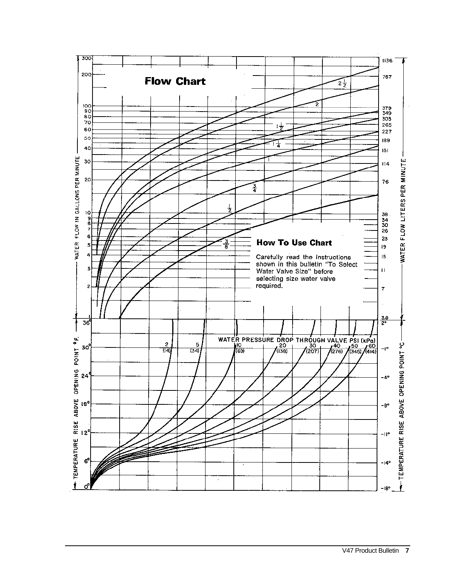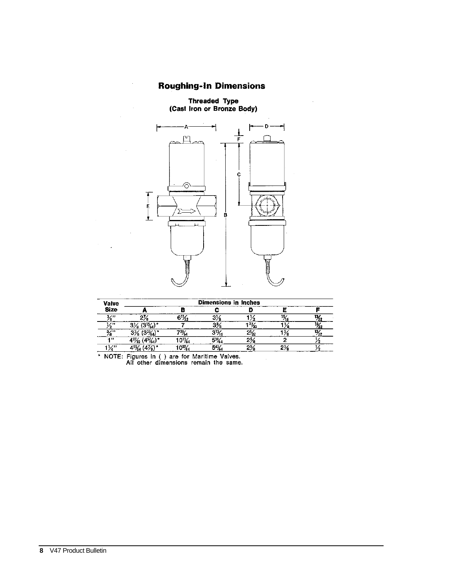## **Roughing-In Dimensions**

Threaded Type<br>(Cast Iron or Bronze Body)



| <b>Valve</b> | Dimensions in Inches |                          |      |                         |     |                |  |  |
|--------------|----------------------|--------------------------|------|-------------------------|-----|----------------|--|--|
| <b>Size</b>  |                      |                          |      |                         |     |                |  |  |
| 2/31         |                      | 6½                       |      |                         | 15, | 1%,            |  |  |
| $\lambda$    | $3\%$ (3½)*          |                          | ۹3,  | $^{21}$ / <sub>32</sub> | ο.  | $\frac{13}{2}$ |  |  |
| 3/13         |                      | $^{12\%}$                | -213 | $2\frac{1}{2}$          |     | 134,           |  |  |
| $-111$       | t27 <u>%.</u>        | $0\%$                    |      | 25                      |     |                |  |  |
| 74           | $1\frac{5}{4}$       | $10^{37}$ $\frac{1}{10}$ | 54%  | $2\%$                   |     |                |  |  |

NOTE: Figures in () are for Maritime Valves.<br>All other dimensions remain the same.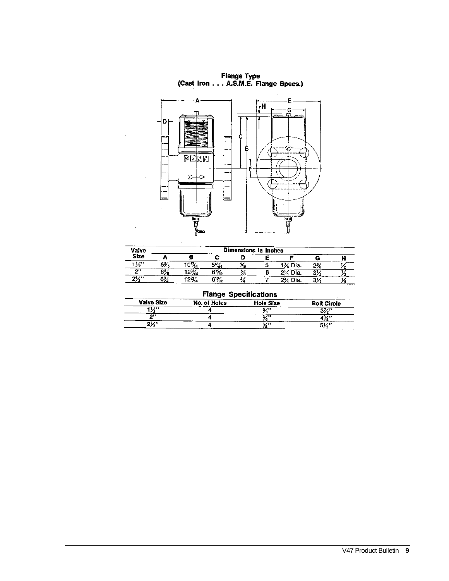Flange Type<br>(Cast Iron . . . A.S.M.E. Flange Specs.)

<span id="page-8-0"></span>

 $\bar{z}$ 

| Valve       | Dimensions in Inches |               |                 |    |  |         |           |  |
|-------------|----------------------|---------------|-----------------|----|--|---------|-----------|--|
| <b>Size</b> |                      |               |                 |    |  |         |           |  |
| 1/2         | .<br>ు‰              | 103%          | 5%,             | 16 |  | 1% Dia. | 2½        |  |
| 211         | $6\%$                | $12^{3}/_{4}$ | $6\frac{1}{42}$ |    |  | 2% Dia. | 31.<br>о. |  |
| 2/2         | $6\frac{3}{4}$       | $12\%$        | $6\frac{1}{2}$  |    |  | 2% Dia. | 3½        |  |

| <b>Flange Specifications</b> |                     |                  |                    |  |  |
|------------------------------|---------------------|------------------|--------------------|--|--|
| <b>Valve Size</b>            | <b>No. of Holes</b> | <b>Hole Size</b> | <b>Bolt Circle</b> |  |  |
| $1\%$                        |                     |                  | $3\%$ "            |  |  |
| n.                           |                     | 2/II             | 13/"               |  |  |
| $2\frac{1}{2}$               |                     | 3/11             |                    |  |  |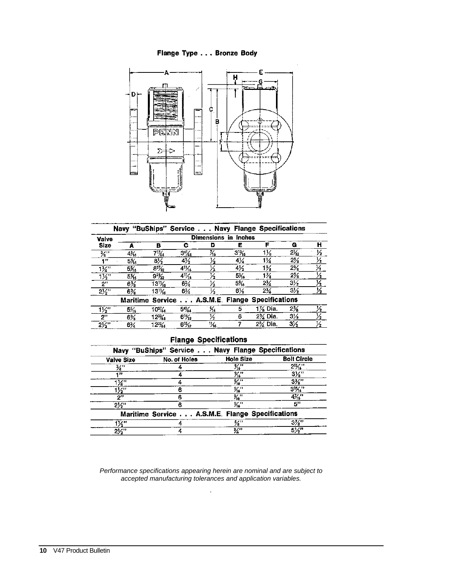Flange Type . . . Bronze Body



|                          | Navy "BuShips" Service Navy Flange Specifications |                               |                  |                      |                 |                                                 |                |               |
|--------------------------|---------------------------------------------------|-------------------------------|------------------|----------------------|-----------------|-------------------------------------------------|----------------|---------------|
| Valve                    |                                                   |                               |                  | Dimensions in Inches |                 |                                                 |                |               |
| <b>Size</b>              |                                                   | в                             | с                | Ð                    | Е               | F                                               | G              | н             |
| $\overline{\mathscr{U}}$ | 4%                                                | 71%                           | $3^{5}/_{64}$    | Χs                   | $3\%$           | 1½                                              | $2\frac{1}{2}$ | 1⁄2           |
| 42                       | $5\%$                                             | 8½                            | 4½               | 12                   | 4½              | 1¼                                              | $2\%$          | $\frac{1}{2}$ |
| 1/4                      | $5\%$                                             | $8\%_{2}$                     | $4^{11}$ %       | $\frac{1}{2}$        | 4½              | $1\%$                                           | 2%             | 14.           |
| $1\frac{1}{2}$           | $5\%$                                             | 9 <sup>2</sup> / <sub>2</sub> | $4\frac{11}{16}$ |                      | $5\frac{1}{16}$ | 1%                                              | $2\%$          | $\frac{1}{2}$ |
| 2"                       | $6\%$                                             | 131 <sub>%</sub>              | 6%               | 1⁄2                  | 5%              | $2\frac{3}{4}$                                  | $3\frac{1}{2}$ | 1⁄2.          |
| $2\frac{1}{2}$           | 6%                                                | $13\frac{1}{6}$               | 6%               | $\overline{V_2}$     | 6%              | 2%                                              | $3\frac{1}{2}$ | 1⁄2           |
|                          |                                                   |                               |                  |                      |                 | Maritime Service A.S.M.E. Flange Specifications |                |               |
| $1\frac{1}{2}$           | 5%                                                | $10^{3}/_{4}$                 | 5%               | X.                   | 5               | $1\%$ Dia.                                      | 2%             | $\frac{1}{2}$ |
| 2"                       | $6\%$                                             | $12\%$                        | $6\frac{1}{2}$   | ½                    | 6               | 2½ Dia.                                         | $3\%$          | Vz            |
| $2\frac{1}{2}$           | 6%                                                | $12^{3}/\sqrt{2}$             | $6\frac{1}{2}$   | ٦%                   |                 | 2% Dia.                                         | $3\frac{1}{2}$ | 1⁄2           |

## **Flange Specifications**

|                   | Navy "BuShips" Service Navy Flange Specifications |                                   |                    |
|-------------------|---------------------------------------------------|-----------------------------------|--------------------|
| <b>Valve Size</b> | No. of Holes                                      | <b>Hole Size</b>                  | <b>Bolt Circle</b> |
| ₩                 |                                                   | $\frac{1}{46}$                    | $2\frac{1}{6}$     |
| 431               |                                                   | %"                                | $3\frac{1}{3}$     |
| 1½"               |                                                   | $\overline{\mathcal{H}^{\prime}}$ | $3\frac{1}{8}$     |
| $1\frac{1}{2}$    |                                                   | $\frac{9}{16}$                    | $3\frac{1}{6}$     |
| ייפ               |                                                   | %"                                | $4\frac{7}{10}$    |
| 2½"               |                                                   | ‰"                                | 5"                 |
|                   | Maritime Service A.S.M.E. Flange Specifications   |                                   |                    |
| 1½"               |                                                   | ℅"                                | $3\%$ "            |
| $2\frac{1}{2}$    |                                                   | 3⁄4''                             | 5¼"                |

*Performance specifications appearing herein are nominal and are subject to accepted manufacturing tolerances and application variables.*

*.*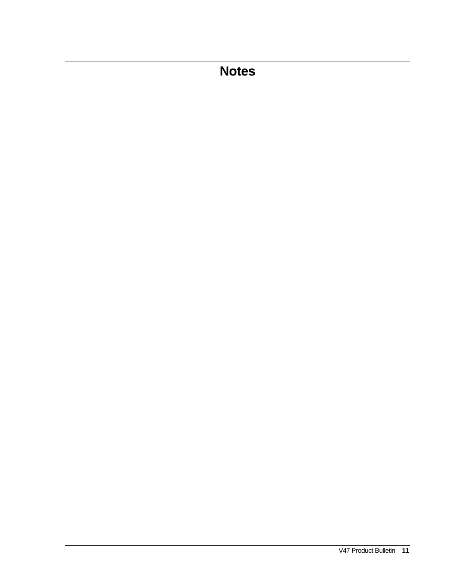# **Notes**